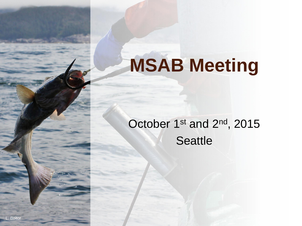# **MSAB Meeting**

### October 1st and 2<sup>nd</sup>, 2015 **Seattle**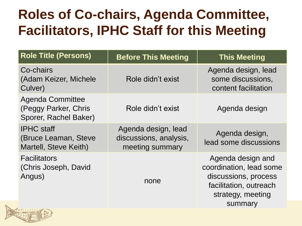## **Roles of Co-chairs, Agenda Committee, Facilitators, IPHC Staff for this Meeting**

| <b>Role Title (Persons)</b>                                              | <b>Before This Meeting</b>                                       | <b>This Meeting</b>                                                                                                            |
|--------------------------------------------------------------------------|------------------------------------------------------------------|--------------------------------------------------------------------------------------------------------------------------------|
| Co-chairs<br>(Adam Keizer, Michele<br>Culver)                            | Role didn't exist                                                | Agenda design, lead<br>some discussions,<br>content facilitation                                                               |
| <b>Agenda Committee</b><br>(Peggy Parker, Chris<br>Sporer, Rachel Baker) | Role didn't exist                                                | Agenda design                                                                                                                  |
| <b>IPHC</b> staff<br>(Bruce Leaman, Steve<br>Martell, Steve Keith)       | Agenda design, lead<br>discussions, analysis,<br>meeting summary | Agenda design,<br>lead some discussions                                                                                        |
| <b>Facilitators</b><br>(Chris Joseph, David<br>Angus)                    | none                                                             | Agenda design and<br>coordination, lead some<br>discussions, process<br>facilitation, outreach<br>strategy, meeting<br>summary |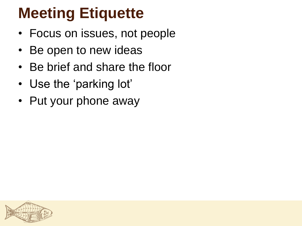# **Meeting Etiquette**

- Focus on issues, not people
- Be open to new ideas
- Be brief and share the floor
- Use the 'parking lot'
- Put your phone away

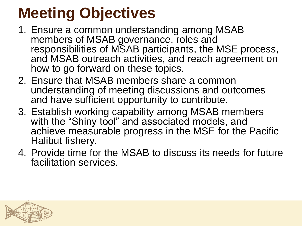# **Meeting Objectives**

- 1. Ensure a common understanding among MSAB members of MSAB governance, roles and responsibilities of MSAB participants, the MSE process, and MSAB outreach activities, and reach agreement on how to go forward on these topics.
- 2. Ensure that MSAB members share a common understanding of meeting discussions and outcomes and have sufficient opportunity to contribute.
- 3. Establish working capability among MSAB members with the "Shiny tool" and associated models, and achieve measurable progress in the MSE for the Pacific Halibut fishery.
- 4. Provide time for the MSAB to discuss its needs for future facilitation services.

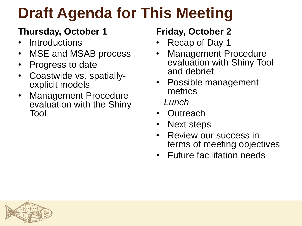# **Draft Agenda for This Meeting**

#### **Thursday, October 1**

- **Introductions**
- MSE and MSAB process
- Progress to date
- Coastwide vs. spatiallyexplicit models
- Management Procedure evaluation with the Shiny Tool

#### **Friday, October 2**

- Recap of Day 1
- Management Procedure evaluation with Shiny Tool and debrief
- Possible management metrics  *Lunch*
- Outreach
- Next steps
- Review our success in terms of meeting objectives
- Future facilitation needs

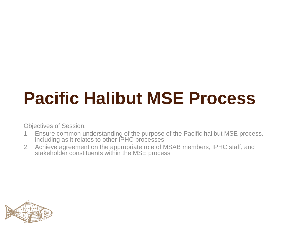# **Pacific Halibut MSE Process**

Objectives of Session:

- 1. Ensure common understanding of the purpose of the Pacific halibut MSE process, including as it relates to other IPHC processes
- 2. Achieve agreement on the appropriate role of MSAB members, IPHC staff, and stakeholder constituents within the MSE process

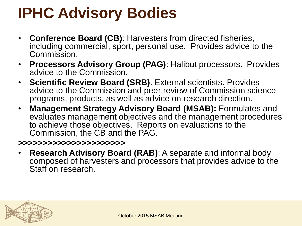# **IPHC Advisory Bodies**

- **Conference Board (CB)**: Harvesters from directed fisheries, including commercial, sport, personal use. Provides advice to the Commission.
- **Processors Advisory Group (PAG)**: Halibut processors. Provides advice to the Commission.
- **Scientific Review Board (SRB)**. External scientists. Provides advice to the Commission and peer review of Commission science programs, products, as well as advice on research direction.
- **Management Strategy Advisory Board (MSAB):** Formulates and evaluates management objectives and the management procedures to achieve those objectives. Reports on evaluations to the Commission, the CB and the PAG.

#### **>>>>>>>>>>>>>>>>>>>>>>**

• **Research Advisory Board (RAB)**: A separate and informal body composed of harvesters and processors that provides advice to the Staff on research.

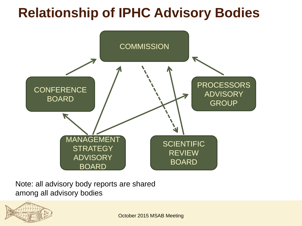### **Relationship of IPHC Advisory Bodies**



Note: all advisory body reports are shared among all advisory bodies

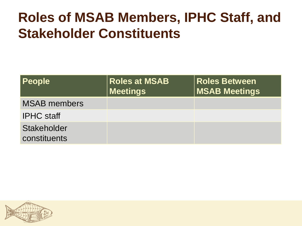### **Roles of MSAB Members, IPHC Staff, and Stakeholder Constituents**

| <b>People</b>               | <b>Roles at MSAB</b><br><b>Meetings</b> | <b>Roles Between</b><br><b>MSAB Meetings</b> |
|-----------------------------|-----------------------------------------|----------------------------------------------|
| <b>MSAB</b> members         |                                         |                                              |
| <b>IPHC</b> staff           |                                         |                                              |
| Stakeholder<br>constituents |                                         |                                              |

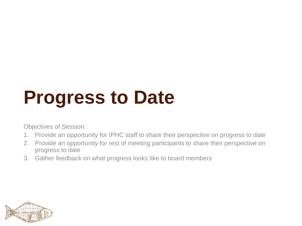# **Progress to Date**

Objectives of Session:

- 1. Provide an opportunity for IPHC staff to share their perspective on progress to date
- 2. Provide an opportunity for rest of meeting participants to share their perspective on progress to date
- 3. Gather feedback on what progress looks like to board members

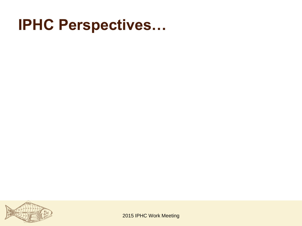## **IPHC Perspectives…**



2015 IPHC Work Meeting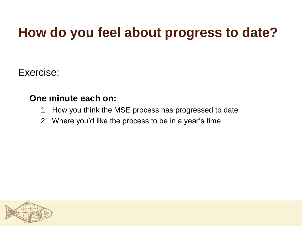### **How do you feel about progress to date?**

Exercise:

#### **One minute each on:**

- 1. How you think the MSE process has progressed to date
- 2. Where you'd like the process to be in a year's time

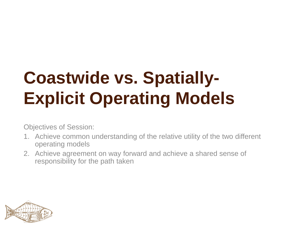# **Coastwide vs. Spatially-Explicit Operating Models**

Objectives of Session:

- 1. Achieve common understanding of the relative utility of the two different operating models
- 2. Achieve agreement on way forward and achieve a shared sense of responsibility for the path taken

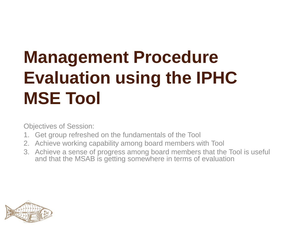# **Management Procedure Evaluation using the IPHC MSE Tool**

Objectives of Session:

- 1. Get group refreshed on the fundamentals of the Tool
- 2. Achieve working capability among board members with Tool
- 3. Achieve a sense of progress among board members that the Tool is useful and that the MSAB is getting somewhere in terms of evaluation

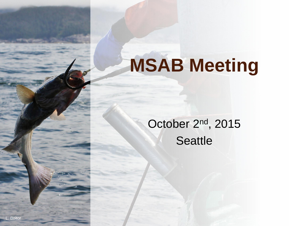# **MSAB Meeting**

### October 2nd, 2015 **Seattle**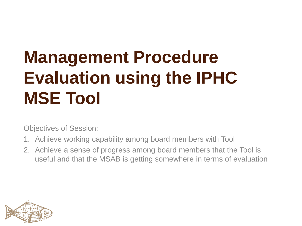# **Management Procedure Evaluation using the IPHC MSE Tool**

Objectives of Session:

- 1. Achieve working capability among board members with Tool
- 2. Achieve a sense of progress among board members that the Tool is useful and that the MSAB is getting somewhere in terms of evaluation

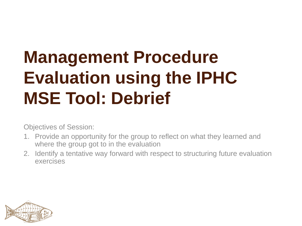# **Management Procedure Evaluation using the IPHC MSE Tool: Debrief**

Objectives of Session:

- 1. Provide an opportunity for the group to reflect on what they learned and where the group got to in the evaluation
- 2. Identify a tentative way forward with respect to structuring future evaluation exercises

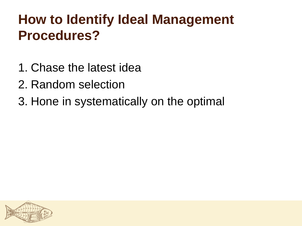## **How to Identify Ideal Management Procedures?**

- 1. Chase the latest idea
- 2. Random selection
- 3. Hone in systematically on the optimal

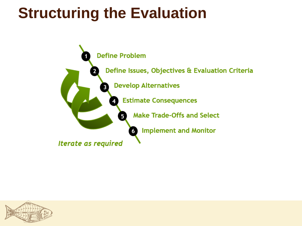# **Structuring the Evaluation**



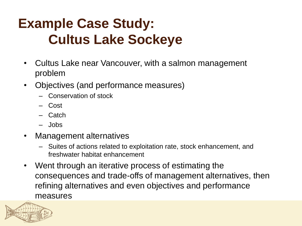## **Example Case Study: Cultus Lake Sockeye**

- Cultus Lake near Vancouver, with a salmon management problem
- Objectives (and performance measures)
	- Conservation of stock
	- Cost
	- Catch
	- Jobs
- Management alternatives
	- Suites of actions related to exploitation rate, stock enhancement, and freshwater habitat enhancement
- Went through an iterative process of estimating the consequences and trade-offs of management alternatives, then refining alternatives and even objectives and performance measures

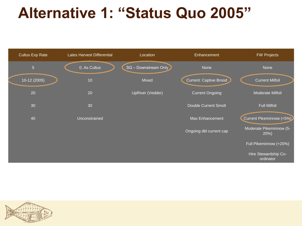# **Alternative 1: "Status Quo 2005"**



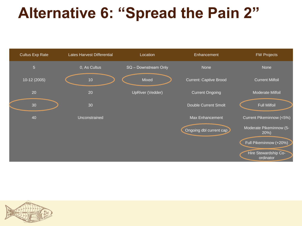# **Alternative 6: "Spread the Pain 2"**



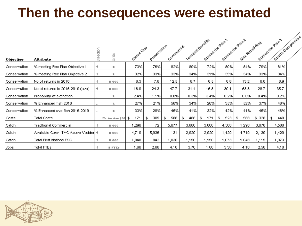### **Then the consequences were estimated**

| Objective    | Attribute                         | Direction<br><b>S</b><br>S | Status Quo  | Presentation | Commercial |           | Stread the Pain<br>Yornwal Benefits | Sysage the Pain 2 | Mar Rebuilding |       | Spire Componie<br>Sylvantite Pain's |  |
|--------------|-----------------------------------|----------------------------|-------------|--------------|------------|-----------|-------------------------------------|-------------------|----------------|-------|-------------------------------------|--|
| Conservation | % meeting Rec Plan Objective 1    | z.                         | 73%         | 76%          | 82%        | 80%       | 72%                                 | 80%               | 84%            | 79%   | 81%                                 |  |
| Conservation | % meeting Rec Plan Objective 2    | ×.                         | 32%         | 33%          | 33%        | 34%       | 31%                                 | 35%               | 34%            | 33%   | 34%                                 |  |
| Conservation | No of returns in 2010             | 2000                       | 6.3         | 7.8          | 12.5       | 8.7       | 6.5                                 | 8.6               | 13.2           | 8.0   | 8.9                                 |  |
| Conservation | No of returns in 2016-2019 (ave)  | 2000                       | 16.9        | 24.3         | 47.7       | 31.1      | 16.8                                | 30.1              | 53.8           | 28.7  | 35.7                                |  |
| Conservation | Probability of extinction         | ×.                         | 2.4%        | 1.1%         | 0.0%       | 0.3%      | 3.4%                                | 0.2%              | 0.0%           | 0.4%  | 0.2%                                |  |
| Conservation | % Enhanced fish 2010              | z.                         | 27%         | 21%          | 56%        | 34%       | 26%                                 | 35%               | 52%            | 37%   | 46%                                 |  |
| Conservation | % Enhanced ave fish 2016-2019     | z.                         | 33%         | 29%          | 45%        | 41%       | 32%                                 | 42%               | 41%            | 45%   | 46%                                 |  |
| Costs        | Total Costs                       | !Yr As Ave \$00            | 171<br>- \$ | 309<br>F     | 588<br>\$. | 488<br>\$ | 171<br>$\mathfrak{P}$               | 523<br>\$         | 588<br>F       | \$328 | 440<br>\$.                          |  |
| Catch        | Traditional Commercial            | #000                       | 1,298       | 72           | 5,877      | 3,088     | 3,088                               | 4,588             | 1,298          | 3,878 | 4,588                               |  |
| Catch        | Available Comm TAC Above Vedder H | 2000                       | 4,710       | 5,936        | 131        | 2,920     | 2,920                               | 1,420             | 4,710          | 2,130 | 1,420                               |  |
| Catch        | Total First Nations FSC           | 2000                       | 1,048       | 842          | 1,030      | 1,150     | 1,150                               | 1,073             | 1,048          | 1,115 | 1,073                               |  |
| Jobs         | Total FTEs                        | FTEs                       | 1.60        | 2.80         | 4.10       | 3.70      | 1.60                                | 3.30              | 4.10           | 2.50  | 4.10                                |  |

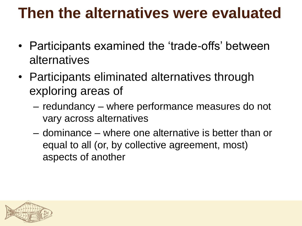# **Then the alternatives were evaluated**

- Participants examined the 'trade-offs' between alternatives
- Participants eliminated alternatives through exploring areas of
	- redundancy where performance measures do not vary across alternatives
	- dominance where one alternative is better than or equal to all (or, by collective agreement, most) aspects of another

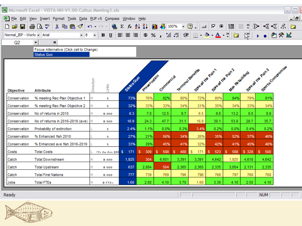|                                                                                  | Microsoft Excel - ViSTA-NH-V1.00-Cultus Meeting3.xls   |                                                                           |                                                                                                                                                                                                                                                                                                                                        |           |            |                                             |          |                 |                            |                 |                                       | $\Box$<br>$\sim$ |
|----------------------------------------------------------------------------------|--------------------------------------------------------|---------------------------------------------------------------------------|----------------------------------------------------------------------------------------------------------------------------------------------------------------------------------------------------------------------------------------------------------------------------------------------------------------------------------------|-----------|------------|---------------------------------------------|----------|-----------------|----------------------------|-----------------|---------------------------------------|------------------|
| <u>니레.</u><br>File Edit View Insert Format Tools Data PUP v5 Compass Window Help |                                                        |                                                                           |                                                                                                                                                                                                                                                                                                                                        |           |            |                                             |          |                 |                            |                 |                                       |                  |
| ▯空<br>Н                                                                          | 人名尼戈<br>@Q°                                            | е<br>$\mathbf{K} \mathbf{D} \ \neq \ \mathbf{C} \mathbf{M} \ \neq \qquad$ | $\Sigma$ $f_*$ $\frac{1}{2}$ $\frac{1}{2}$ $\left \frac{1}{2}$ $\frac{1}{2}$ $\left \frac{1}{2}$ $\frac{1}{2}$ $\frac{1}{2}$ $\left \frac{1}{2}$ $\frac{1}{2}$ $\frac{1}{2}$ $\frac{1}{2}$ $\left \frac{1}{2}$ $\frac{1}{2}$ $\frac{1}{2}$ $\frac{1}{2}$ $\frac{1}{2}$ $\frac{1}{2}$ $\frac{1}{2}$ $\frac{1}{2}$ $\frac{1}{2}$ $\frac$ |           |            |                                             |          |                 | 国                          | - ≫   ĝ≽  <br>E | ∹‰ ∹‰                                 | 海<br>Ą.          |
| Normal_IEP - Works - Arial                                                       | $-8$                                                   | $\bar{\phantom{a}}$<br>$\, {\bf B}$<br>$\mathbf{u}$                       | 青青青                                                                                                                                                                                                                                                                                                                                    | $$ \%$ ,  |            | $^{\ast.0}_{-00}$ + $^{\circ.0}_{0}$  <br>拝 |          | ⊟・ঠ・▲・?│齒       |                            | 凶               |                                       | 御や図              |
| Q2                                                                               | $\overline{\phantom{a}}$<br>$=$                        |                                                                           |                                                                                                                                                                                                                                                                                                                                        |           |            |                                             |          |                 |                            |                 |                                       |                  |
|                                                                                  | Focus Alternative (Click cell to Change)<br>Status Quo |                                                                           |                                                                                                                                                                                                                                                                                                                                        |           |            |                                             |          |                 |                            |                 |                                       |                  |
| Objective                                                                        | <b>Attribute</b>                                       | Direction<br>Units                                                        | Statisoup                                                                                                                                                                                                                                                                                                                              | President | Commercial | Terminal Benefits                           |          | Stead the Pain' | Speak the Paint, a withing |                 | Sprits Comptomise<br>Speak the Pain's |                  |
| Conservation                                                                     | % meeting Rec Plan Objective 1                         | Н<br>z.                                                                   | 73%                                                                                                                                                                                                                                                                                                                                    | 76%       | 82%        | 80%                                         | 72%      | 80%             | 84%                        | 79%             | 81%                                   |                  |
| Conservation                                                                     | % meeting Rec Plan Objective 2                         | Η<br>z.                                                                   | 32%                                                                                                                                                                                                                                                                                                                                    | 33%       | 33%        | 34%                                         | 31%      | 35%             | 34%                        | 33%             | 34%                                   |                  |
| Conservation                                                                     | No of returns in 2010                                  | н<br>2000                                                                 | 6.3                                                                                                                                                                                                                                                                                                                                    | 7.8       | 12.5       | 8.7                                         | 6.5      | 8.6             | 13.2                       | 8.0             | 8.9                                   |                  |
| Conservation                                                                     | No of returns in 2016-2019 (ave)                       | 2000                                                                      | 16.9                                                                                                                                                                                                                                                                                                                                   | 24.3      | 47.7       | 31.1                                        | 16.8     | 30.1            | 53.8                       | 28.7            | 35.7                                  |                  |
| Conservation                                                                     | Probability of extinction                              | z.                                                                        | 2.4%                                                                                                                                                                                                                                                                                                                                   | 1.1%      | 0.0%       | 0.3%                                        | 3.4%     | 0.2%            | 0.0%                       | 0.4%            | 0.2%                                  |                  |
| Conservation                                                                     | % Enhanced fish 2010                                   | z.                                                                        | 27%                                                                                                                                                                                                                                                                                                                                    | 21%       | 56%        | 34%                                         | 26%      | 35%             | 52%                        | 37%             | 46%                                   |                  |
| Conservation                                                                     | % Enhanced ave fish 2016-2019                          | ż.                                                                        | 33%                                                                                                                                                                                                                                                                                                                                    | 29%       | 45%        | 41%                                         | 32%      | 42%             | 41%                        | 45%             | 46%                                   |                  |
| Costs                                                                            | <b>Total Costs</b>                                     | !Yr An Ave \$00                                                           | $\mathcal{S}$<br>171                                                                                                                                                                                                                                                                                                                   | 309<br>s  | 588<br>-S  | 488<br>s                                    | s<br>171 | 523<br>s        | 588<br>s                   | \$ 328          | 500<br>s.                             |                  |
| Catch                                                                            | <b>Total Downstream</b>                                | 2000                                                                      | 1,925                                                                                                                                                                                                                                                                                                                                  | 304       | 6,601      | 3,391                                       | 3,391    | 4,642           | 1,925                      | 4,618           | 4,642                                 |                  |
| Catch                                                                            | <b>Total Upstream</b>                                  | 2000                                                                      | 637                                                                                                                                                                                                                                                                                                                                    | 2,884     | 504        | 2,365                                       | 2,365    | 2,335           | 3,054                      | 2,131           | 2,335                                 |                  |
| Catch                                                                            | <b>Total First Nations</b>                             | Н<br>2000                                                                 | 777                                                                                                                                                                                                                                                                                                                                    | 739       | 769        | 796                                         | 796      | 768             | 797                        | 768             | 768                                   |                  |
| Jobs                                                                             | <b>Total FTEs</b>                                      | Н<br>FTEs                                                                 | 1.60                                                                                                                                                                                                                                                                                                                                   | 2.80      | 4.10       | 3.70                                        | 1.60     | 3.30            | 4.10                       | 2.50            | 4.10                                  |                  |

| Ready |  |  | <b>NUM</b> |  |
|-------|--|--|------------|--|

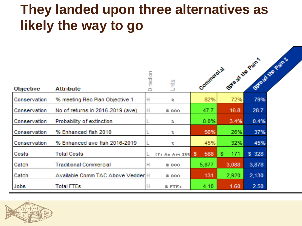### **They landed upon three alternatives as likely the way to go**

| <b>Objective</b>    | <b>Attribute</b>                  | Direction | 貨气              |    | Commercial |    |       | System Realis<br>STRO 20 1/18 Pain' |  |
|---------------------|-----------------------------------|-----------|-----------------|----|------------|----|-------|-------------------------------------|--|
| Conservation        | % meeting Rec Plan Objective 1    | H         | 看               |    | 82%        |    | 72%   | 79%                                 |  |
| <b>Conservation</b> | No of returns in 2016-2019 (ave)  | H         | # 000           |    | 47.7       |    | 16.8  | 28.7                                |  |
| Conservation        | Probability of extinction         |           | 宯               |    | $0.0\%$    |    | 3.4%  | 0.4%                                |  |
| Conservation        | % Enhanced fish 2010              |           | 看               |    | 56%        |    | 26%   | 37%                                 |  |
| Conservation        | % Enhanced ave fish 2016-2019     |           | 看               |    | 45%        |    | 32%   | 45%                                 |  |
| Costs               | <b>Total Costs</b>                |           | I'm An Ave \$00 | S. | 588        | S. | 171   | \$328                               |  |
| Catch               | <b>Traditional Commercial</b>     | н         | <b>#000</b>     |    | 5,877      |    | 3,088 | 3,878                               |  |
| Catch               | Available Comm TAC Above Vedder H |           | <b>#000</b>     |    | 131        |    | 2,920 | 2,130                               |  |
| Jobs                | <b>Total FTEs</b>                 | н         | $\equiv$ FTEs.  |    | 4.10       |    | 1.60  | 2.50                                |  |

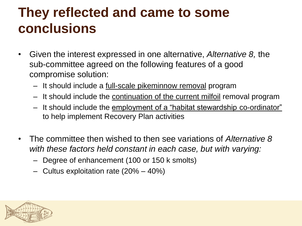### **They reflected and came to some conclusions**

- Given the interest expressed in one alternative, *Alternative 8,* the sub-committee agreed on the following features of a good compromise solution:
	- It should include a full-scale pikeminnow removal program
	- It should include the continuation of the current milfoil removal program
	- It should include the employment of a "habitat stewardship co-ordinator" to help implement Recovery Plan activities
- The committee then wished to then see variations of *Alternative 8 with these factors held constant in each case, but with varying:*
	- Degree of enhancement (100 or 150 k smolts)
	- Cultus exploitation rate (20% 40%)

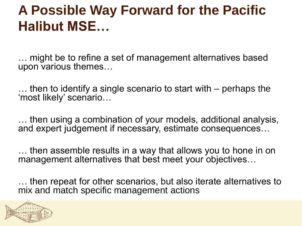### **A Possible Way Forward for the Pacific Halibut MSE…**

… might be to refine a set of management alternatives based upon various themes…

… then to identify a single scenario to start with – perhaps the 'most likely' scenario…

… then using a combination of your models, additional analysis, and expert judgement if necessary, estimate consequences…

… then assemble results in a way that allows you to hone in on management alternatives that best meet your objectives…

… then repeat for other scenarios, but also iterate alternatives to mix and match specific management actions

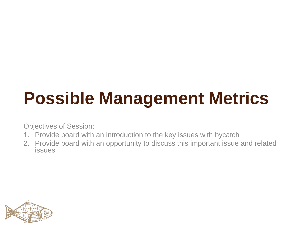# **Possible Management Metrics**

Objectives of Session:

- 1. Provide board with an introduction to the key issues with bycatch
- 2. Provide board with an opportunity to discuss this important issue and related issues

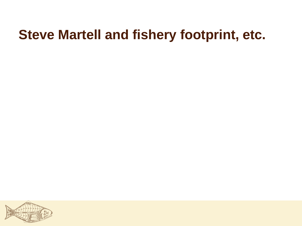### **Steve Martell and fishery footprint, etc.**

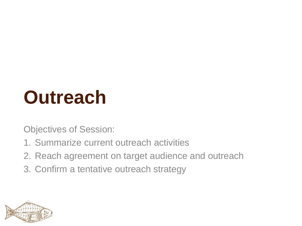# **Outreach**

Objectives of Session:

- 1. Summarize current outreach activities
- 2. Reach agreement on target audience and outreach
- 3. Confirm a tentative outreach strategy

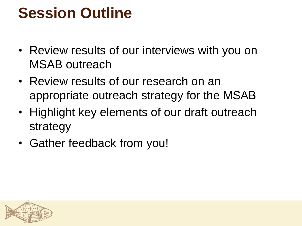# **Session Outline**

- Review results of our interviews with you on MSAB outreach
- Review results of our research on an appropriate outreach strategy for the MSAB
- Highlight key elements of our draft outreach strategy
- Gather feedback from you!

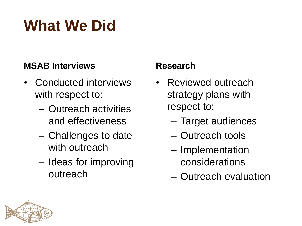# **What We Did**

#### **MSAB Interviews**

- Conducted interviews with respect to:
	- Outreach activities and effectiveness
	- Challenges to date with outreach
	- Ideas for improving outreach

#### **Research**

- Reviewed outreach strategy plans with respect to:
	- Target audiences
	- Outreach tools
	- Implementation considerations
	- Outreach evaluation

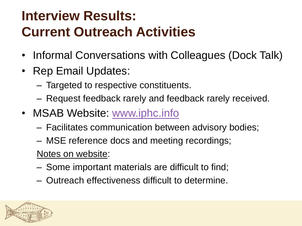## **Interview Results: Current Outreach Activities**

- Informal Conversations with Colleagues (Dock Talk)
- Rep Email Updates:
	- Targeted to respective constituents.
	- Request feedback rarely and feedback rarely received.
- MSAB Website: [www.iphc.info](http://www.iphc.info/)
	- Facilitates communication between advisory bodies;
	- MSE reference docs and meeting recordings;

Notes on website:

- Some important materials are difficult to find;
- Outreach effectiveness difficult to determine.

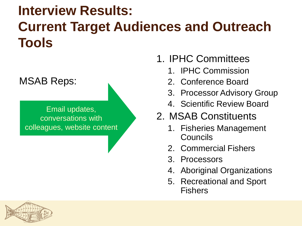## **Interview Results: Current Target Audiences and Outreach Tools**

#### MSAB Reps:

Email updates, conversations with colleagues, website content

- 1. IPHC Committees
	- 1. IPHC Commission
	- 2. Conference Board
	- 3. Processor Advisory Group
	- 4. Scientific Review Board

#### 2. MSAB Constituents

- 1. Fisheries Management Councils
- 2. Commercial Fishers
- 3. Processors
- 4. Aboriginal Organizations
- 5. Recreational and Sport Fishers

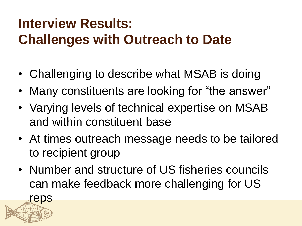## **Interview Results: Challenges with Outreach to Date**

- Challenging to describe what MSAB is doing
- Many constituents are looking for "the answer"
- Varying levels of technical expertise on MSAB and within constituent base
- At times outreach message needs to be tailored to recipient group
- Number and structure of US fisheries councils can make feedback more challenging for US

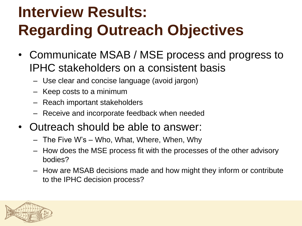# **Interview Results: Regarding Outreach Objectives**

- Communicate MSAB / MSE process and progress to IPHC stakeholders on a consistent basis
	- Use clear and concise language (avoid jargon)
	- Keep costs to a minimum
	- Reach important stakeholders
	- Receive and incorporate feedback when needed
- Outreach should be able to answer:
	- The Five W's Who, What, Where, When, Why
	- How does the MSE process fit with the processes of the other advisory bodies?
	- How are MSAB decisions made and how might they inform or contribute to the IPHC decision process?

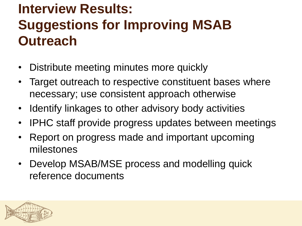## **Interview Results: Suggestions for Improving MSAB Outreach**

- Distribute meeting minutes more quickly
- Target outreach to respective constituent bases where necessary; use consistent approach otherwise
- Identify linkages to other advisory body activities
- IPHC staff provide progress updates between meetings
- Report on progress made and important upcoming milestones
- Develop MSAB/MSE process and modelling quick reference documents

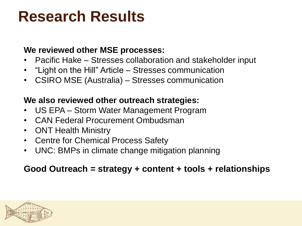# **Research Results**

#### **We reviewed other MSE processes:**

- Pacific Hake Stresses collaboration and stakeholder input
- "Light on the Hill" Article Stresses communication
- CSIRO MSE (Australia) Stresses communication

#### **We also reviewed other outreach strategies:**

- US EPA Storm Water Management Program
- CAN Federal Procurement Ombudsman
- ONT Health Ministry
- Centre for Chemical Process Safety
- UNC: BMPs in climate change mitigation planning

#### **Good Outreach = strategy + content + tools + relationships**

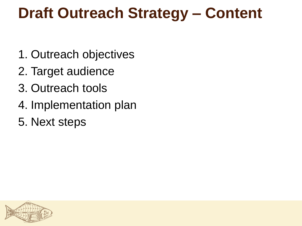# **Draft Outreach Strategy – Content**

- 1. Outreach objectives
- 2. Target audience
- 3. Outreach tools
- 4. Implementation plan
- 5. Next steps

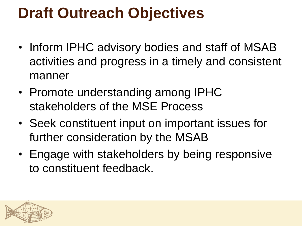# **Draft Outreach Objectives**

- Inform IPHC advisory bodies and staff of MSAB activities and progress in a timely and consistent manner
- Promote understanding among IPHC stakeholders of the MSE Process
- Seek constituent input on important issues for further consideration by the MSAB
- Engage with stakeholders by being responsive to constituent feedback.

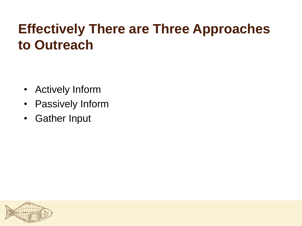### **Effectively There are Three Approaches to Outreach**

- Actively Inform
- Passively Inform
- Gather Input

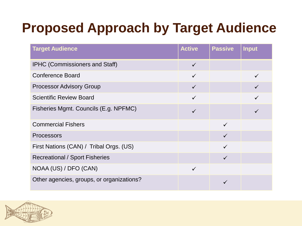## **Proposed Approach by Target Audience**

| <b>Target Audience</b>                    | <b>Active</b> | <b>Passive</b> | <b>Input</b> |
|-------------------------------------------|---------------|----------------|--------------|
| <b>IPHC (Commissioners and Staff)</b>     | $\checkmark$  |                |              |
| <b>Conference Board</b>                   | $\checkmark$  |                |              |
| <b>Processor Advisory Group</b>           | $\checkmark$  |                |              |
| <b>Scientific Review Board</b>            |               |                |              |
| Fisheries Mgmt. Councils (E.g. NPFMC)     | $\checkmark$  |                |              |
| <b>Commercial Fishers</b>                 |               | $\checkmark$   |              |
| <b>Processors</b>                         |               | $\checkmark$   |              |
| First Nations (CAN) / Tribal Orgs. (US)   |               |                |              |
| <b>Recreational / Sport Fisheries</b>     |               | $\checkmark$   |              |
| NOAA (US) / DFO (CAN)                     | $\checkmark$  |                |              |
| Other agencies, groups, or organizations? |               |                |              |

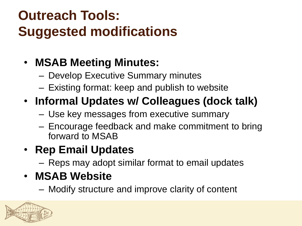# **Outreach Tools: Suggested modifications**

### • **MSAB Meeting Minutes:**

- Develop Executive Summary minutes
- Existing format: keep and publish to website

### • **Informal Updates w/ Colleagues (dock talk)**

- Use key messages from executive summary
- Encourage feedback and make commitment to bring forward to MSAB

### • **Rep Email Updates**

– Reps may adopt similar format to email updates

### • **MSAB Website**

– Modify structure and improve clarity of content

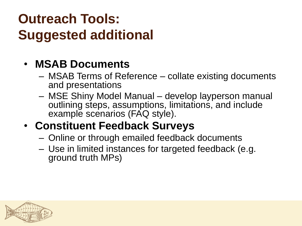## **Outreach Tools: Suggested additional**

#### • **MSAB Documents**

- MSAB Terms of Reference collate existing documents and presentations
- MSE Shiny Model Manual develop layperson manual outlining steps, assumptions, limitations, and include example scenarios (FAQ style).

### • **Constituent Feedback Surveys**

- Online or through emailed feedback documents
- Use in limited instances for targeted feedback (e.g. ground truth MPs)

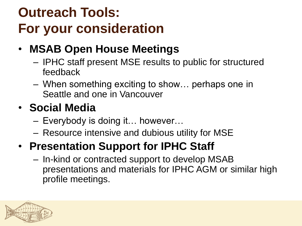# **Outreach Tools: For your consideration**

- **MSAB Open House Meetings**
	- IPHC staff present MSE results to public for structured feedback
	- When something exciting to show… perhaps one in Seattle and one in Vancouver

### • **Social Media**

- Everybody is doing it… however…
- Resource intensive and dubious utility for MSE

### • **Presentation Support for IPHC Staff**

– In-kind or contracted support to develop MSAB presentations and materials for IPHC AGM or similar high profile meetings.

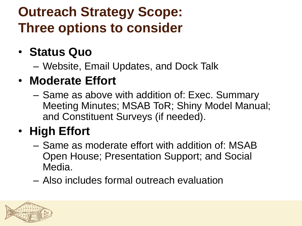## **Outreach Strategy Scope: Three options to consider**

### • **Status Quo**

– Website, Email Updates, and Dock Talk

### • **Moderate Effort**

– Same as above with addition of: Exec. Summary Meeting Minutes; MSAB ToR; Shiny Model Manual; and Constituent Surveys (if needed).

### • **High Effort**

- Same as moderate effort with addition of: MSAB Open House; Presentation Support; and Social Media.
- Also includes formal outreach evaluation

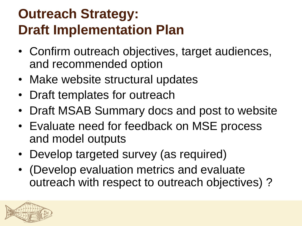## **Outreach Strategy: Draft Implementation Plan**

- Confirm outreach objectives, target audiences, and recommended option
- Make website structural updates
- Draft templates for outreach
- Draft MSAB Summary docs and post to website
- Evaluate need for feedback on MSE process and model outputs
- Develop targeted survey (as required)
- (Develop evaluation metrics and evaluate outreach with respect to outreach objectives) ?

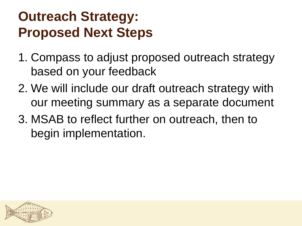## **Outreach Strategy: Proposed Next Steps**

- 1. Compass to adjust proposed outreach strategy based on your feedback
- 2. We will include our draft outreach strategy with our meeting summary as a separate document
- 3. MSAB to reflect further on outreach, then to begin implementation.

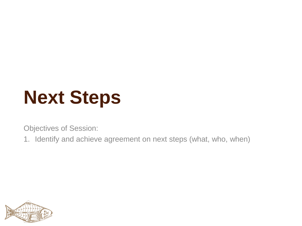# **Next Steps**

Objectives of Session:

1. Identify and achieve agreement on next steps (what, who, when)

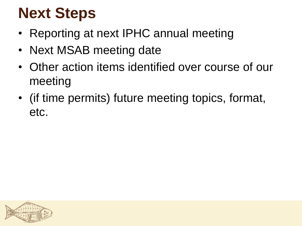# **Next Steps**

- Reporting at next IPHC annual meeting
- Next MSAB meeting date
- Other action items identified over course of our meeting
- (if time permits) future meeting topics, format, etc.

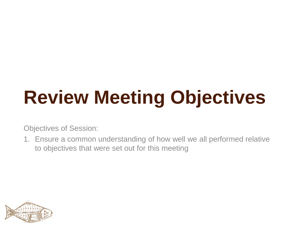# **Review Meeting Objectives**

Objectives of Session:

1. Ensure a common understanding of how well we all performed relative to objectives that were set out for this meeting

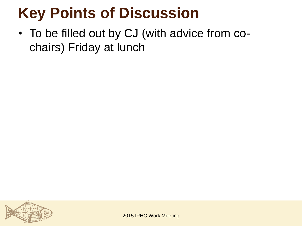# **Key Points of Discussion**

• To be filled out by CJ (with advice from cochairs) Friday at lunch



2015 IPHC Work Meeting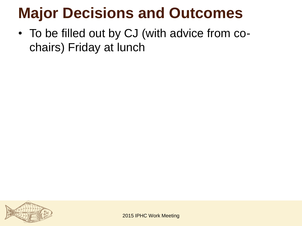# **Major Decisions and Outcomes**

• To be filled out by CJ (with advice from cochairs) Friday at lunch



2015 IPHC Work Meeting